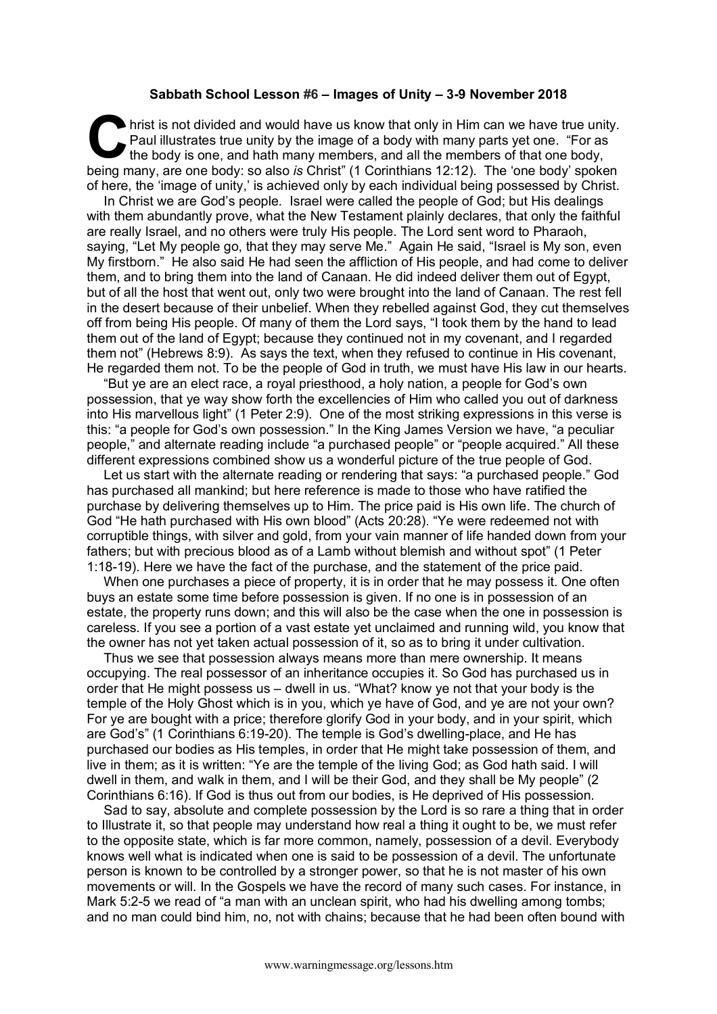## **Sabbath School Lesson #6 – Images of Unity – 3-9 November 2018**

hrist is not divided and would have us know that only in Him can we have true unity. Paul illustrates true unity by the image of a body with many parts yet one. "For as the body is one, and hath many members, and all the members of that one body, being many, are one body: so also *is* Christ" (1 Corinthians 12:12). The 'one body' spoken of here, the 'image of unity,' is achieved only by each individual being possessed by Christ. C hris<br>Pa<br>heina man

In Christ we are God's people. Israel were called the people of God; but His dealings with them abundantly prove, what the New Testament plainly declares, that only the faithful are really Israel, and no others were truly His people. The Lord sent word to Pharaoh, saying, "Let My people go, that they may serve Me." Again He said, "Israel is My son, even My firstborn." He also said He had seen the affliction of His people, and had come to deliver them, and to bring them into the land of Canaan. He did indeed deliver them out of Egypt, but of all the host that went out, only two were brought into the land of Canaan. The rest fell in the desert because of their unbelief. When they rebelled against God, they cut themselves off from being His people. Of many of them the Lord says, "I took them by the hand to lead them out of the land of Egypt; because they continued not in my covenant, and I regarded them not" (Hebrews 8:9). As says the text, when they refused to continue in His covenant, He regarded them not. To be the people of God in truth, we must have His law in our hearts.

"But ye are an elect race, a royal priesthood, a holy nation, a people for God's own possession, that ye way show forth the excellencies of Him who called you out of darkness into His marvellous light" (1 Peter 2:9). One of the most striking expressions in this verse is this: "a people for God's own possession." In the King James Version we have, "a peculiar people," and alternate reading include "a purchased people" or "people acquired." All these different expressions combined show us a wonderful picture of the true people of God.

Let us start with the alternate reading or rendering that says: "a purchased people." God has purchased all mankind; but here reference is made to those who have ratified the purchase by delivering themselves up to Him. The price paid is His own life. The church of God "He hath purchased with His own blood" (Acts 20:28). "Ye were redeemed not with corruptible things, with silver and gold, from your vain manner of life handed down from your fathers; but with precious blood as of a Lamb without blemish and without spot" (1 Peter 1:18-19). Here we have the fact of the purchase, and the statement of the price paid.

When one purchases a piece of property, it is in order that he may possess it. One often buys an estate some time before possession is given. If no one is in possession of an estate, the property runs down; and this will also be the case when the one in possession is careless. If you see a portion of a vast estate yet unclaimed and running wild, you know that the owner has not yet taken actual possession of it, so as to bring it under cultivation.

Thus we see that possession always means more than mere ownership. It means occupying. The real possessor of an inheritance occupies it. So God has purchased us in order that He might possess us – dwell in us. "What? know ye not that your body is the temple of the Holy Ghost which is in you, which ye have of God, and ye are not your own? For ye are bought with a price; therefore glorify God in your body, and in your spirit, which are God's" (1 Corinthians 6:19-20). The temple is God's dwelling-place, and He has purchased our bodies as His temples, in order that He might take possession of them, and live in them; as it is written: "Ye are the temple of the living God; as God hath said. I will dwell in them, and walk in them, and I will be their God, and they shall be My people" (2 Corinthians 6:16). If God is thus out from our bodies, is He deprived of His possession.

Sad to say, absolute and complete possession by the Lord is so rare a thing that in order to Illustrate it, so that people may understand how real a thing it ought to be, we must refer to the opposite state, which is far more common, namely, possession of a devil. Everybody knows well what is indicated when one is said to be possession of a devil. The unfortunate person is known to be controlled by a stronger power, so that he is not master of his own movements or will. In the Gospels we have the record of many such cases. For instance, in Mark 5:2-5 we read of "a man with an unclean spirit, who had his dwelling among tombs; and no man could bind him, no, not with chains; because that he had been often bound with